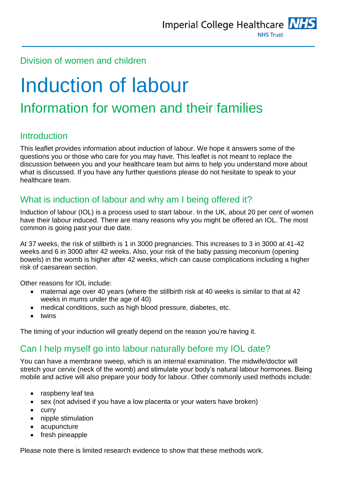## Division of women and children

# Induction of labour Information for women and their families

## Introduction

This leaflet provides information about induction of labour. We hope it answers some of the questions you or those who care for you may have. This leaflet is not meant to replace the discussion between you and your healthcare team but aims to help you understand more about what is discussed. If you have any further questions please do not hesitate to speak to your healthcare team.

## What is induction of labour and why am I being offered it?

Induction of labour (IOL) is a process used to start labour. In the UK, about 20 per cent of women have their labour induced. There are many reasons why you might be offered an IOL. The most common is going past your due date.

At 37 weeks, the risk of stillbirth is 1 in 3000 pregnancies. This increases to 3 in 3000 at 41-42 weeks and 6 in 3000 after 42 weeks. Also, your risk of the baby passing meconium (opening bowels) in the womb is higher after 42 weeks, which can cause complications including a higher risk of caesarean section.

Other reasons for IOL include:

- maternal age over 40 years (where the stillbirth risk at 40 weeks is similar to that at 42 weeks in mums under the age of 40)
- medical conditions, such as high blood pressure, diabetes, etc.
- twins

The timing of your induction will greatly depend on the reason you're having it.

#### Can I help myself go into labour naturally before my IOL date?

You can have a membrane sweep, which is an internal examination. The midwife/doctor will stretch your cervix (neck of the womb) and stimulate your body's natural labour hormones. Being mobile and active will also prepare your body for labour. Other commonly used methods include:

- raspberry leaf tea
- sex (not advised if you have a low placenta or your waters have broken)
- $\bullet$  curry
- nipple stimulation
- acupuncture
- fresh pineapple

Please note there is limited research evidence to show that these methods work.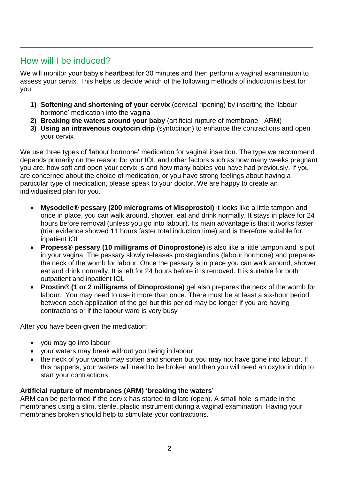# How will I be induced?

We will monitor your baby's heartbeat for 30 minutes and then perform a vaginal examination to assess your cervix. This helps us decide which of the following methods of induction is best for you:

- **1) Softening and shortening of your cervix** (cervical ripening) by inserting the 'labour hormone' medication into the vagina
- **2) Breaking the waters around your baby** (artificial rupture of membrane ARM)
- **3) Using an intravenous oxytocin drip** (syntocinon) to enhance the contractions and open your cervix

We use three types of 'labour hormone' medication for vaginal insertion. The type we recommend depends primarily on the reason for your IOL and other factors such as how many weeks pregnant you are, how soft and open your cervix is and how many babies you have had previously. If you are concerned about the choice of medication, or you have strong feelings about having a particular type of medication, please speak to your doctor. We are happy to create an individualised plan for you.

- **Mysodelle® pessary (200 micrograms of Misoprostol)** it looks like a little tampon and once in place, you can walk around, shower, eat and drink normally. It stays in place for 24 hours before removal (unless you go into labour). Its main advantage is that it works faster (trial evidence showed 11 hours faster total induction time) and is therefore suitable for inpatient IOL
- **Propess® pessary (10 milligrams of Dinoprostone)** is also like a little tampon and is put in your vagina. The pessary slowly releases prostaglandins (labour hormone) and prepares the neck of the womb for labour. Once the pessary is in place you can walk around, shower, eat and drink normally. It is left for 24 hours before it is removed. It is suitable for both outpatient and inpatient IOL
- **Prostin® (1 or 2 milligrams of Dinoprostone)** gel also prepares the neck of the womb for labour. You may need to use it more than once. There must be at least a six-hour period between each application of the gel but this period may be longer if you are having contractions or if the labour ward is very busy

After you have been given the medication:

- you may go into labour
- your waters may break without you being in labour
- the neck of your womb may soften and shorten but you may not have gone into labour. If this happens, your waters will need to be broken and then you will need an oxytocin drip to start your contractions

#### **Artificial rupture of membranes (ARM) 'breaking the waters'**

ARM can be performed if the cervix has started to dilate (open). A small hole is made in the membranes using a slim, sterile, plastic instrument during a vaginal examination. Having your membranes broken should help to stimulate your contractions.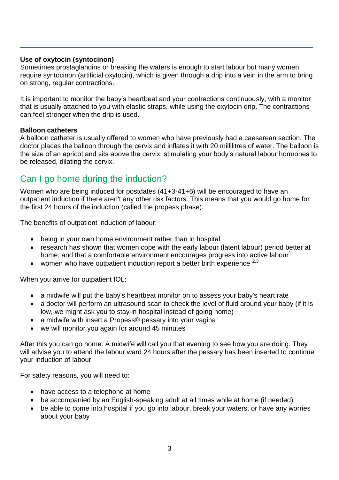#### **Use of oxytocin (syntocinon)**

Sometimes prostaglandins or breaking the waters is enough to start labour but many women require syntocinon (artificial oxytocin), which is given through a drip into a vein in the arm to bring on strong, regular contractions.

It is important to monitor the baby's heartbeat and your contractions continuously, with a monitor that is usually attached to you with elastic straps, while using the oxytocin drip. The contractions can feel stronger when the drip is used.

#### **Balloon catheters**

A balloon catheter is usually offered to women who have previously had a caesarean section. The doctor places the balloon through the cervix and inflates it with 20 millilitres of water. The balloon is the size of an apricot and sits above the cervix, stimulating your body's natural labour hormones to be released, dilating the cervix.

#### Can I go home during the induction?

Women who are being induced for postdates (41+3-41+6) will be encouraged to have an outpatient induction if there aren't any other risk factors. This means that you would go home for the first 24 hours of the induction (called the propess phase).

The benefits of outpatient induction of labour:

- being in your own home environment rather than in hospital
- research has shown that women cope with the early labour (latent labour) period better at home, and that a comfortable environment encourages progress into active labour<sup>1</sup>
- women who have outpatient induction report a better birth experience  $2,3$

When you arrive for outpatient IOL:

- a midwife will put the baby's heartbeat monitor on to assess your baby's heart rate
- a doctor will perform an ultrasound scan to check the level of fluid around your baby (if it is low, we might ask you to stay in hospital instead of going home)
- a midwife with insert a Propess® pessary into your vagina
- we will monitor you again for around 45 minutes

After this you can go home. A midwife will call you that evening to see how you are doing. They will advise you to attend the labour ward 24 hours after the pessary has been inserted to continue your induction of labour.

For safety reasons, you will need to:

- have access to a telephone at home
- be accompanied by an English-speaking adult at all times while at home (if needed)
- be able to come into hospital if you go into labour, break your waters, or have any worries about your baby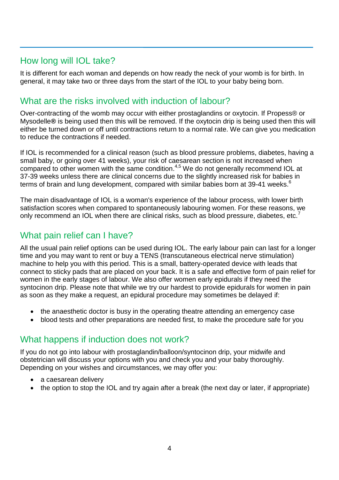### How long will IOL take?

It is different for each woman and depends on how ready the neck of your womb is for birth. In general, it may take two or three days from the start of the IOL to your baby being born.

#### What are the risks involved with induction of labour?

Over-contracting of the womb may occur with either prostaglandins or oxytocin. If Propess® or Mysodelle**®** is being used then this will be removed. If the oxytocin drip is being used then this will either be turned down or off until contractions return to a normal rate. We can give you medication to reduce the contractions if needed.

If IOL is recommended for a clinical reason (such as blood pressure problems, diabetes, having a small baby, or going over 41 weeks), your risk of caesarean section is not increased when compared to other women with the same condition.<sup>4,5</sup> We do not generally recommend IOL at 37-39 weeks unless there are clinical concerns due to the slightly increased risk for babies in terms of brain and lung development, compared with similar babies born at 39-41 weeks.<sup>6</sup>

The main disadvantage of IOL is a woman's experience of the labour process, with lower birth satisfaction scores when compared to spontaneously labouring women. For these reasons, we only recommend an IOL when there are clinical risks, such as blood pressure, diabetes, etc. $\prime$ 

# What pain relief can I have?

All the usual pain relief options can be used during IOL. The early labour pain can last for a longer time and you may want to rent or buy a TENS (transcutaneous electrical nerve stimulation) machine to help you with this period. This is a small, battery-operated device with leads that connect to sticky pads that are placed on your back. It is a safe and effective form of pain relief for women in the early stages of labour. We also offer women early epidurals if they need the syntocinon drip. Please note that while we try our hardest to provide epidurals for women in pain as soon as they make a request, an epidural procedure may sometimes be delayed if:

- the anaesthetic doctor is busy in the operating theatre attending an emergency case
- blood tests and other preparations are needed first, to make the procedure safe for you

## What happens if induction does not work?

If you do not go into labour with prostaglandin/balloon/syntocinon drip, your midwife and obstetrician will discuss your options with you and check you and your baby thoroughly. Depending on your wishes and circumstances, we may offer you:

- a caesarean delivery
- the option to stop the IOL and try again after a break (the next day or later, if appropriate)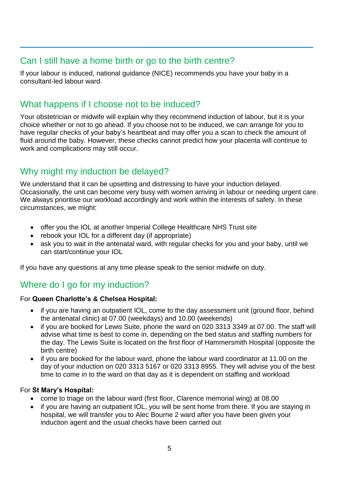#### Can I still have a home birth or go to the birth centre?

If your labour is induced, national guidance (NICE) recommends you have your baby in a consultant-led labour ward.

# What happens if I choose not to be induced?

Your obstetrician or midwife will explain why they recommend induction of labour, but it is your choice whether or not to go ahead. If you choose not to be induced, we can arrange for you to have regular checks of your baby's heartbeat and may offer you a scan to check the amount of fluid around the baby. However, these checks cannot predict how your placenta will continue to work and complications may still occur.

# Why might my induction be delayed?

We understand that it can be upsetting and distressing to have your induction delayed. Occasionally, the unit can become very busy with women arriving in labour or needing urgent care. We always prioritise our workload accordingly and work within the interests of safety. In these circumstances, we might:

- offer you the IOL at another Imperial College Healthcare NHS Trust site
- rebook your IOL for a different day (if appropriate)
- ask you to wait in the antenatal ward, with regular checks for you and your baby, until we can start/continue your IOL

If you have any questions at any time please speak to the senior midwife on duty.

# Where do I go for my induction?

#### For **Queen Charlotte's & Chelsea Hospital:**

- if you are having an outpatient IOL, come to the day assessment unit (ground floor, behind the antenatal clinic) at 07.00 (weekdays) and 10.00 (weekends)
- if you are booked for Lewis Suite, phone the ward on 020 3313 3349 at 07.00. The staff will advise what time is best to come in, depending on the bed status and staffing numbers for the day. The Lewis Suite is located on the first floor of Hammersmith Hospital (opposite the birth centre)
- if you are booked for the labour ward, phone the labour ward coordinator at 11.00 on the day of your induction on 020 3313 5167 or 020 3313 8955. They will advise you of the best time to come in to the ward on that day as it is dependent on staffing and workload

#### For **St Mary's Hospital:**

- come to triage on the labour ward (first floor, Clarence memorial wing) at 08.00
- if you are having an outpatient IOL, you will be sent home from there. If you are staying in hospital, we will transfer you to Alec Bourne 2 ward after you have been given your induction agent and the usual checks have been carried out